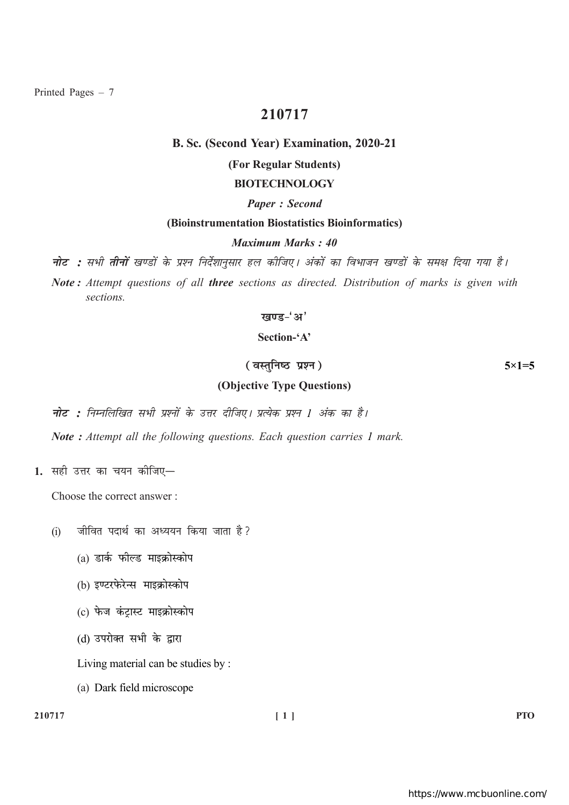Printed Pages  $-7$ 

# 210717

## B. Sc. (Second Year) Examination, 2020-21

# (For Regular Students)

# **BIOTECHNOLOGY**

#### **Paper: Second**

## (Bioinstrumentation Biostatistics Bioinformatics)

## Maximum Marks: 40

**नोट :** सभी **तीनों** खण्डों के प्रश्न निर्देशानुसार हल कीजिए। अंकों का विभाजन खण्डों के समक्ष दिया गया है।

Note: Attempt questions of all three sections as directed. Distribution of marks is given with sections.

## खण्ड-'अ'

# Section-'A'

# (वस्तुनिष्ठ प्रश्न)

## (Objective Type Questions)

**नोट :** निम्नलिखित सभी प्रश्नों के उत्तर दीजिए। प्रत्येक प्रश्न 1 अंक का है।

Note: Attempt all the following questions. Each question carries 1 mark.

1. सही उत्तर का चयन कीजिए-

Choose the correct answer:

- जीवित पदार्थ का अध्ययन किया जाता है?  $(i)$ 
	- (a) डार्क फील्ड माइक्रोस्कोप
	- (b) इण्टरफेरेन्स माइक्रोस्कोप
	- (c) फेज कंटास्ट माइक्रोस्कोप
	- (d) उपरोक्त सभी के द्वारा

Living material can be studies by:

(a) Dark field microscope

## 210717

 $5 \times 1 = 5$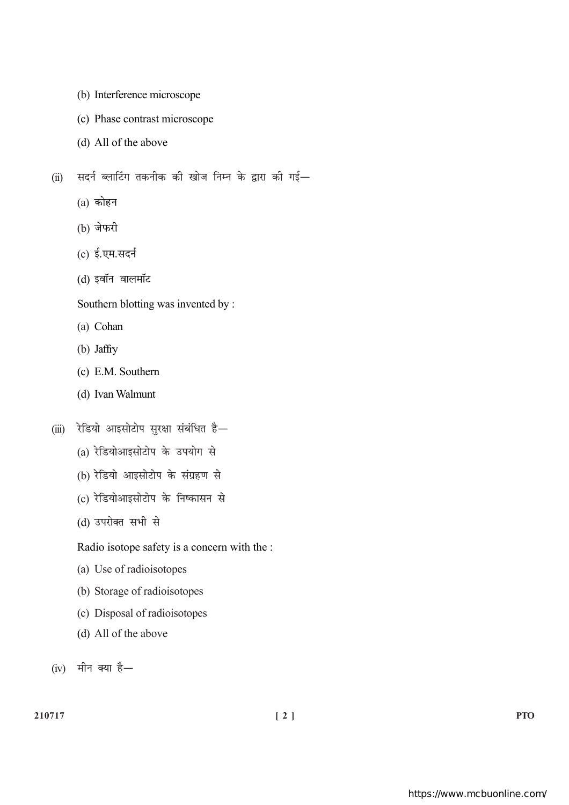- (b) Interference microscope
- (c) Phase contrast microscope
- (d) All of the above

सदर्न ब्लाटिंग तकनीक की खोज निम्न के द्वारा की गई—  $(ii)$ 

- $(a)$  कोहन
- (b) जेफरी
- (c) ई.एम.सदर्न
- (d) इवॉन वालमॉट

Southern blotting was invented by :

- (a) Cohan
- (b) Jaffry
- (c) E.M. Southern
- (d) Ivan Walmunt
- (iii) रेडियो आइसोटोप सुरक्षा संबंधित है-
	- (a) रेडियोआइसोटोप के उपयोग से
	- (b) रेडियो आइसोटोप के संग्रहण से
	- (c) रेडियोआइसोटोप के निष्कासन से
	- (d) उपरोक्त सभी से

Radio isotope safety is a concern with the :

- (a) Use of radioisotopes
- (b) Storage of radioisotopes
- (c) Disposal of radioisotopes
- (d) All of the above
- (iv) मीन क्या है-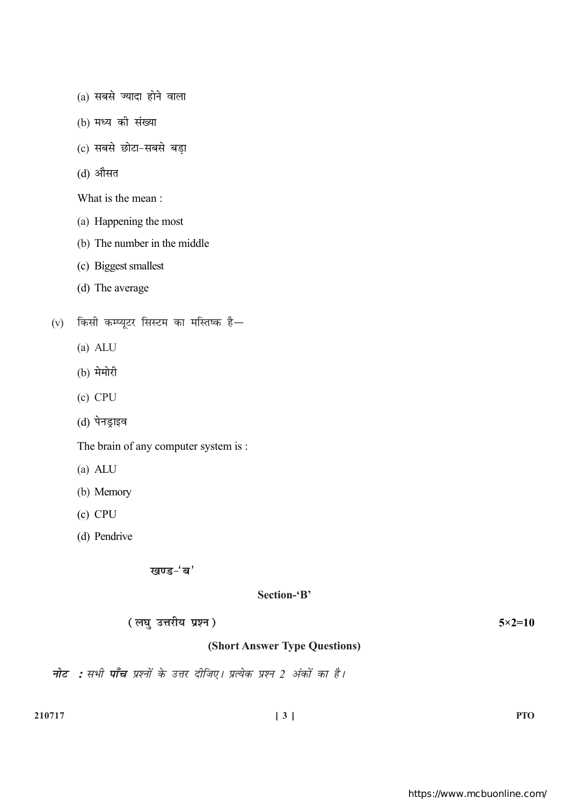- (a) सबसे ज्यादा होने वाला
- (b) मध्य की संख्या
- (c) सबसे छोटा-सबसे बड़ा
- (d) औसत

What is the mean:

- (a) Happening the most
- (b) The number in the middle
- (c) Biggest smallest
- (d) The average
- (v) किसी कम्प्यूटर सिस्टम का मस्तिष्क है $-$ 
	- $(a)$  ALU
	- (b) मेमोरी
	- $(c)$  CPU
	- (d) पेनड्राइव

The brain of any computer system is :

- $(a)$  ALU
- (b) Memory
- $(c)$  CPU
- (d) Pendrive

खण्ड-'ब'

## Section-'B'

(लघु उत्तरीय प्रश्न)

 $5 \times 2 = 10$ 

# (Short Answer Type Questions)

नोट : सभी पाँच प्रश्नों के उत्तर दीजिए। प्रत्येक प्रश्न 2 अंकों का है।

**PTO**